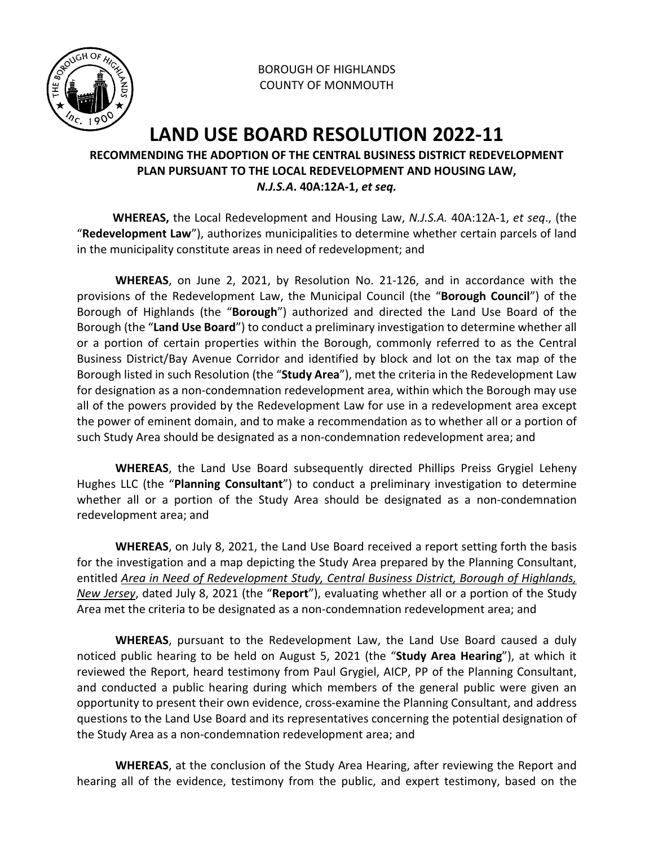

BOROUGH OF HIGHLANDS COUNTY OF MONMOUTH

## **LAND USE BOARD RESOLUTION 2022-11**

## **RECOMMENDING THE ADOPTION OF THE CENTRAL BUSINESS DISTRICT REDEVELOPMENT PLAN PURSUANT TO THE LOCAL REDEVELOPMENT AND HOUSING LAW,**  *N.J.S.A***. 40A:12A-1,** *et seq.*

 **WHEREAS,** the Local Redevelopment and Housing Law, *N.J.S.A.* 40A:12A-1, *et seq*., (the "**Redevelopment Law**"), authorizes municipalities to determine whether certain parcels of land in the municipality constitute areas in need of redevelopment; and

**WHEREAS**, on June 2, 2021, by Resolution No. 21-126, and in accordance with the provisions of the Redevelopment Law, the Municipal Council (the "**Borough Council**") of the Borough of Highlands (the "**Borough**") authorized and directed the Land Use Board of the Borough (the "**Land Use Board**") to conduct a preliminary investigation to determine whether all or a portion of certain properties within the Borough, commonly referred to as the Central Business District/Bay Avenue Corridor and identified by block and lot on the tax map of the Borough listed in such Resolution (the "**Study Area**"), met the criteria in the Redevelopment Law for designation as a non-condemnation redevelopment area, within which the Borough may use all of the powers provided by the Redevelopment Law for use in a redevelopment area except the power of eminent domain, and to make a recommendation as to whether all or a portion of such Study Area should be designated as a non-condemnation redevelopment area; and

**WHEREAS**, the Land Use Board subsequently directed Phillips Preiss Grygiel Leheny Hughes LLC (the "**Planning Consultant**") to conduct a preliminary investigation to determine whether all or a portion of the Study Area should be designated as a non-condemnation redevelopment area; and

**WHEREAS**, on July 8, 2021, the Land Use Board received a report setting forth the basis for the investigation and a map depicting the Study Area prepared by the Planning Consultant, entitled *Area in Need of Redevelopment Study, Central Business District, Borough of Highlands, New Jersey*, dated July 8, 2021 (the "**Report**"), evaluating whether all or a portion of the Study Area met the criteria to be designated as a non-condemnation redevelopment area; and

**WHEREAS**, pursuant to the Redevelopment Law, the Land Use Board caused a duly noticed public hearing to be held on August 5, 2021 (the "**Study Area Hearing**"), at which it reviewed the Report, heard testimony from Paul Grygiel, AICP, PP of the Planning Consultant, and conducted a public hearing during which members of the general public were given an opportunity to present their own evidence, cross-examine the Planning Consultant, and address questions to the Land Use Board and its representatives concerning the potential designation of the Study Area as a non-condemnation redevelopment area; and

**WHEREAS**, at the conclusion of the Study Area Hearing, after reviewing the Report and hearing all of the evidence, testimony from the public, and expert testimony, based on the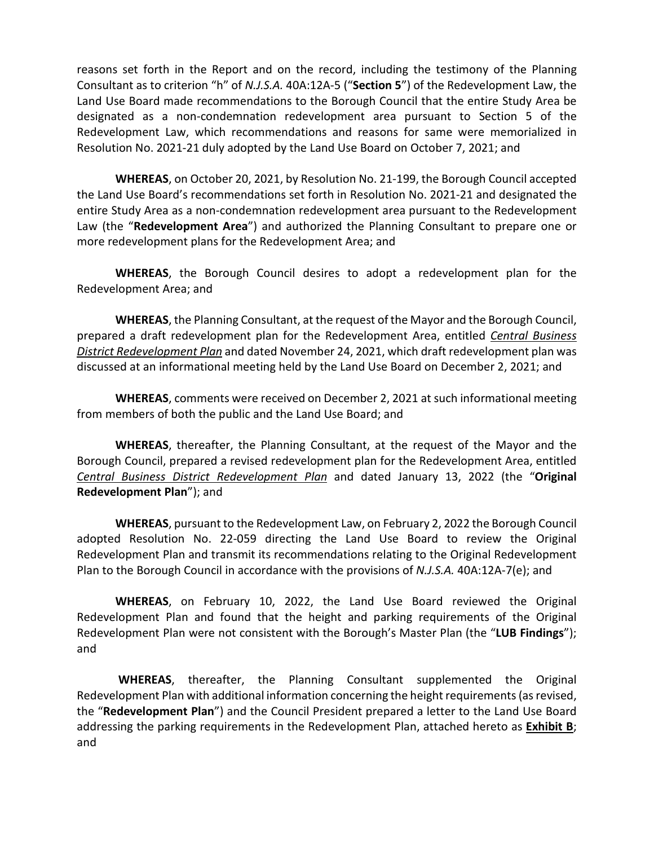reasons set forth in the Report and on the record, including the testimony of the Planning Consultant as to criterion "h" of *N.J.S.A.* 40A:12A-5 ("**Section 5**") of the Redevelopment Law, the Land Use Board made recommendations to the Borough Council that the entire Study Area be designated as a non-condemnation redevelopment area pursuant to Section 5 of the Redevelopment Law, which recommendations and reasons for same were memorialized in Resolution No. 2021-21 duly adopted by the Land Use Board on October 7, 2021; and

**WHEREAS**, on October 20, 2021, by Resolution No. 21-199, the Borough Council accepted the Land Use Board's recommendations set forth in Resolution No. 2021-21 and designated the entire Study Area as a non-condemnation redevelopment area pursuant to the Redevelopment Law (the "**Redevelopment Area**") and authorized the Planning Consultant to prepare one or more redevelopment plans for the Redevelopment Area; and

**WHEREAS**, the Borough Council desires to adopt a redevelopment plan for the Redevelopment Area; and

**WHEREAS**, the Planning Consultant, at the request of the Mayor and the Borough Council, prepared a draft redevelopment plan for the Redevelopment Area, entitled *Central Business District Redevelopment Plan* and dated November 24, 2021, which draft redevelopment plan was discussed at an informational meeting held by the Land Use Board on December 2, 2021; and

**WHEREAS**, comments were received on December 2, 2021 at such informational meeting from members of both the public and the Land Use Board; and

**WHEREAS**, thereafter, the Planning Consultant, at the request of the Mayor and the Borough Council, prepared a revised redevelopment plan for the Redevelopment Area, entitled *Central Business District Redevelopment Plan* and dated January 13, 2022 (the "**Original Redevelopment Plan**"); and

**WHEREAS**, pursuant to the Redevelopment Law, on February 2, 2022 the Borough Council adopted Resolution No. 22-059 directing the Land Use Board to review the Original Redevelopment Plan and transmit its recommendations relating to the Original Redevelopment Plan to the Borough Council in accordance with the provisions of *N.J.S.A.* 40A:12A-7(e); and

**WHEREAS**, on February 10, 2022, the Land Use Board reviewed the Original Redevelopment Plan and found that the height and parking requirements of the Original Redevelopment Plan were not consistent with the Borough's Master Plan (the "**LUB Findings**"); and

**WHEREAS**, thereafter, the Planning Consultant supplemented the Original Redevelopment Plan with additional information concerning the height requirements (as revised, the "**Redevelopment Plan**") and the Council President prepared a letter to the Land Use Board addressing the parking requirements in the Redevelopment Plan, attached hereto as **Exhibit B**; and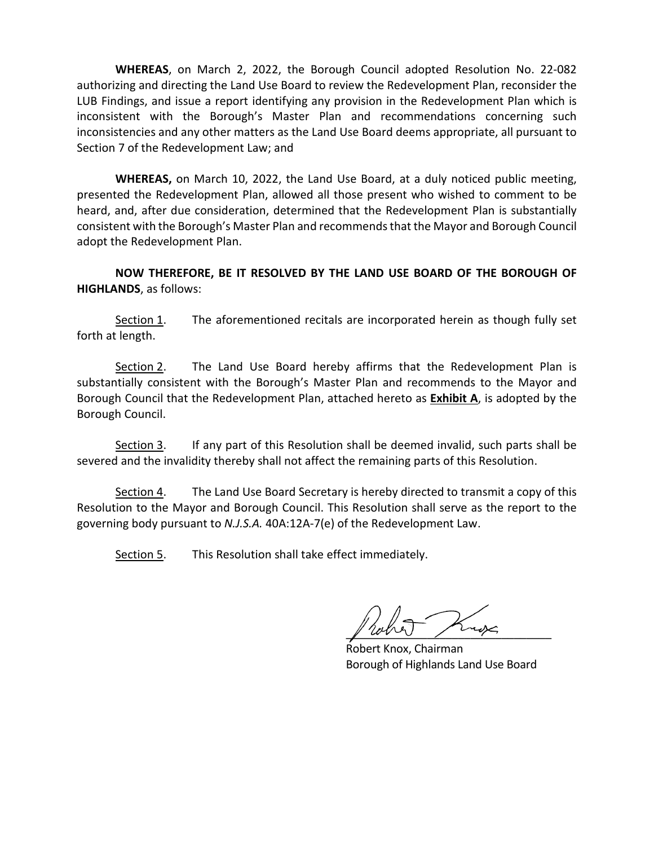**WHEREAS**, on March 2, 2022, the Borough Council adopted Resolution No. 22-082 authorizing and directing the Land Use Board to review the Redevelopment Plan, reconsider the LUB Findings, and issue a report identifying any provision in the Redevelopment Plan which is inconsistent with the Borough's Master Plan and recommendations concerning such inconsistencies and any other matters as the Land Use Board deems appropriate, all pursuant to Section 7 of the Redevelopment Law; and

**WHEREAS,** on March 10, 2022, the Land Use Board, at a duly noticed public meeting, presented the Redevelopment Plan, allowed all those present who wished to comment to be heard, and, after due consideration, determined that the Redevelopment Plan is substantially consistent with the Borough's Master Plan and recommends that the Mayor and Borough Council adopt the Redevelopment Plan.

**NOW THEREFORE, BE IT RESOLVED BY THE LAND USE BOARD OF THE BOROUGH OF HIGHLANDS**, as follows:

Section 1. The aforementioned recitals are incorporated herein as though fully set forth at length.

Section 2. The Land Use Board hereby affirms that the Redevelopment Plan is substantially consistent with the Borough's Master Plan and recommends to the Mayor and Borough Council that the Redevelopment Plan, attached hereto as **Exhibit A**, is adopted by the Borough Council.

Section 3. If any part of this Resolution shall be deemed invalid, such parts shall be severed and the invalidity thereby shall not affect the remaining parts of this Resolution.

Section 4. The Land Use Board Secretary is hereby directed to transmit a copy of this Resolution to the Mayor and Borough Council. This Resolution shall serve as the report to the governing body pursuant to *N.J.S.A.* 40A:12A-7(e) of the Redevelopment Law.

Section 5. This Resolution shall take effect immediately.

 $\mu$  rooms  $\mu$ 

 Robert Knox, Chairman Borough of Highlands Land Use Board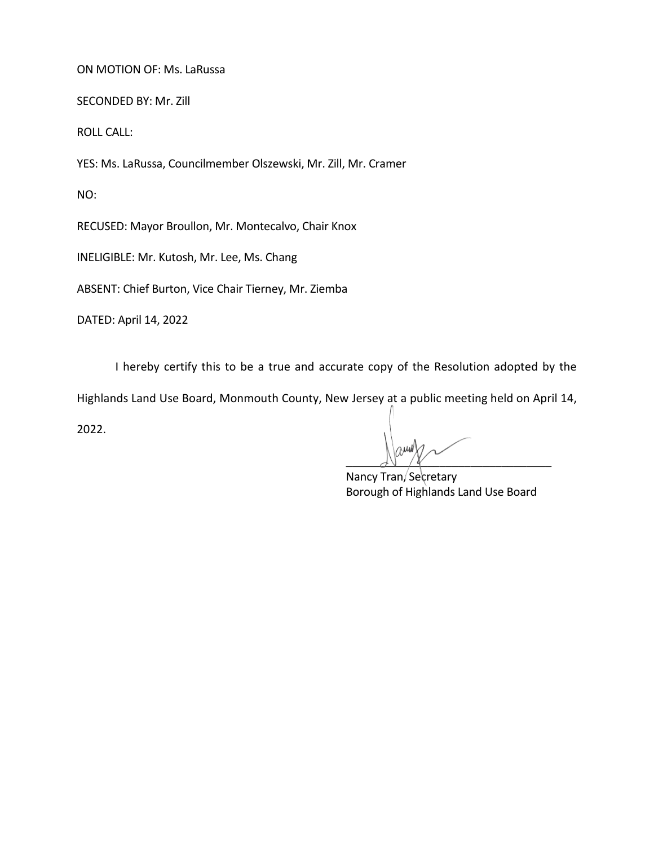## ON MOTION OF: Ms. LaRussa

SECONDED BY: Mr. Zill

ROLL CALL:

YES: Ms. LaRussa, Councilmember Olszewski, Mr. Zill, Mr. Cramer

NO:

RECUSED: Mayor Broullon, Mr. Montecalvo, Chair Knox

INELIGIBLE: Mr. Kutosh, Mr. Lee, Ms. Chang

ABSENT: Chief Burton, Vice Chair Tierney, Mr. Ziemba

DATED: April 14, 2022

I hereby certify this to be a true and accurate copy of the Resolution adopted by the

Highlands Land Use Board, Monmouth County, New Jersey at a public meeting held on April 14,

2022.

 $\Delta V$ 

Nancy Tran/Secretary Borough of Highlands Land Use Board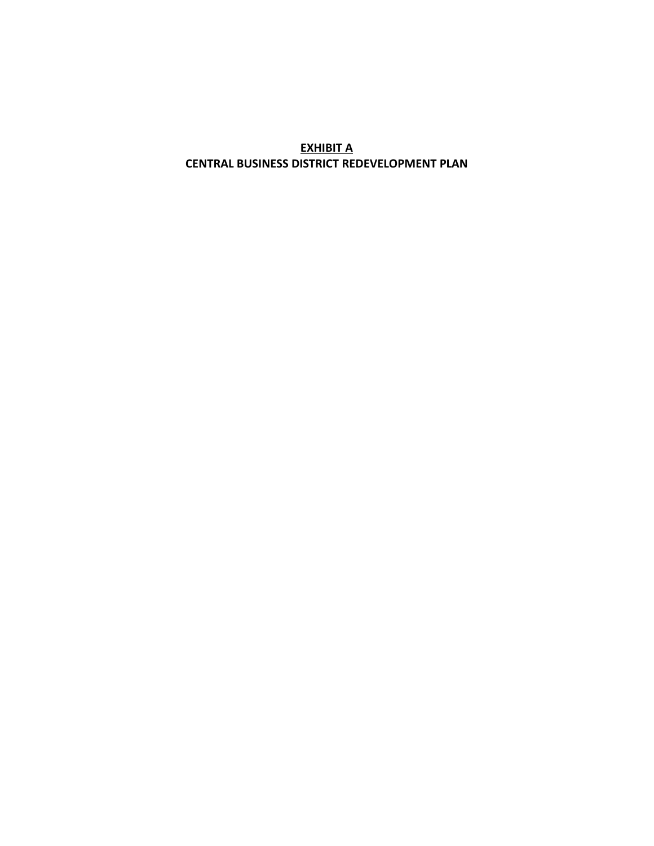**EXHIBIT A CENTRAL BUSINESS DISTRICT REDEVELOPMENT PLAN**